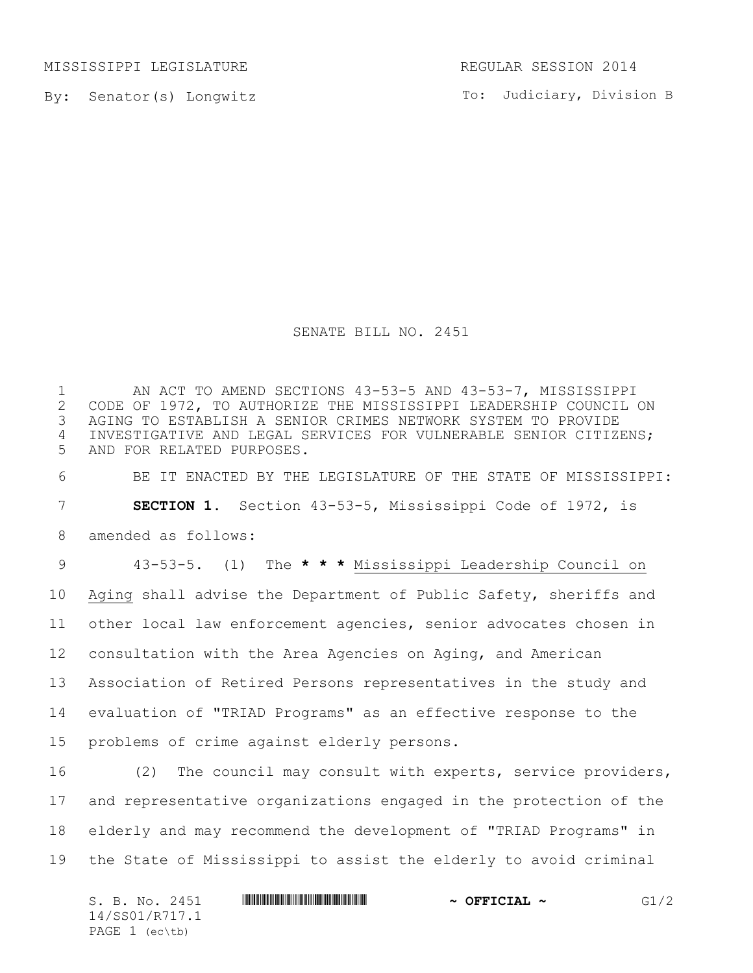MISSISSIPPI LEGISLATURE REGULAR SESSION 2014

By: Senator(s) Longwitz

To: Judiciary, Division B

## SENATE BILL NO. 2451

1 AN ACT TO AMEND SECTIONS 43-53-5 AND 43-53-7, MISSISSIPPI<br>2 CODE OF 1972, TO AUTHORIZE THE MISSISSIPPI LEADERSHIP COUNCIL ( 2 CODE OF 1972, TO AUTHORIZE THE MISSISSIPPI LEADERSHIP COUNCIL ON<br>3 AGING TO ESTABLISH A SENIOR CRIMES NETWORK SYSTEM TO PROVIDE AGING TO ESTABLISH A SENIOR CRIMES NETWORK SYSTEM TO PROVIDE INVESTIGATIVE AND LEGAL SERVICES FOR VULNERABLE SENIOR CITIZENS; AND FOR RELATED PURPOSES.

 BE IT ENACTED BY THE LEGISLATURE OF THE STATE OF MISSISSIPPI: **SECTION 1.** Section 43-53-5, Mississippi Code of 1972, is

amended as follows:

 43-53-5. (1) The **\* \* \*** Mississippi Leadership Council on Aging shall advise the Department of Public Safety, sheriffs and other local law enforcement agencies, senior advocates chosen in consultation with the Area Agencies on Aging, and American Association of Retired Persons representatives in the study and evaluation of "TRIAD Programs" as an effective response to the problems of crime against elderly persons.

 (2) The council may consult with experts, service providers, and representative organizations engaged in the protection of the elderly and may recommend the development of "TRIAD Programs" in the State of Mississippi to assist the elderly to avoid criminal

 $S. B. No. 2451$  **\$Section**  $\sim$  **OFFICIAL**  $\sim$  **G1/2** 14/SS01/R717.1 PAGE 1 (ec\tb)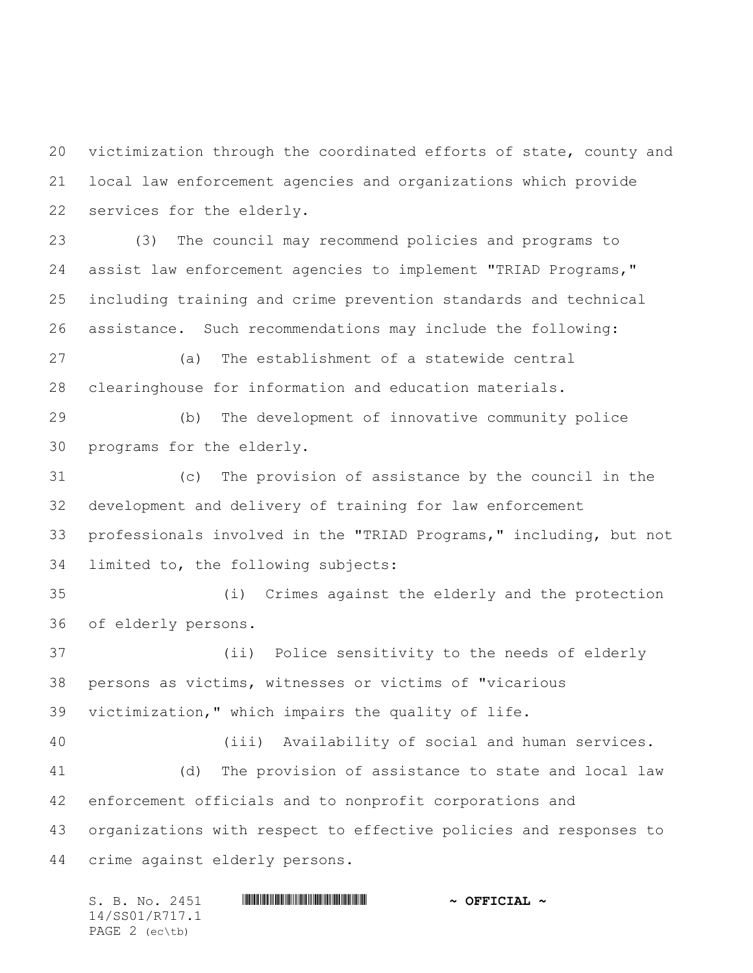victimization through the coordinated efforts of state, county and local law enforcement agencies and organizations which provide services for the elderly.

 (3) The council may recommend policies and programs to assist law enforcement agencies to implement "TRIAD Programs," including training and crime prevention standards and technical assistance. Such recommendations may include the following:

 (a) The establishment of a statewide central clearinghouse for information and education materials.

 (b) The development of innovative community police programs for the elderly.

 (c) The provision of assistance by the council in the development and delivery of training for law enforcement professionals involved in the "TRIAD Programs," including, but not limited to, the following subjects:

 (i) Crimes against the elderly and the protection of elderly persons.

 (ii) Police sensitivity to the needs of elderly persons as victims, witnesses or victims of "vicarious victimization," which impairs the quality of life.

 (iii) Availability of social and human services. (d) The provision of assistance to state and local law enforcement officials and to nonprofit corporations and organizations with respect to effective policies and responses to crime against elderly persons.

S. B. No. 2451 \*SS01/R717.1\* **~ OFFICIAL ~** 14/SS01/R717.1 PAGE 2 (ec\tb)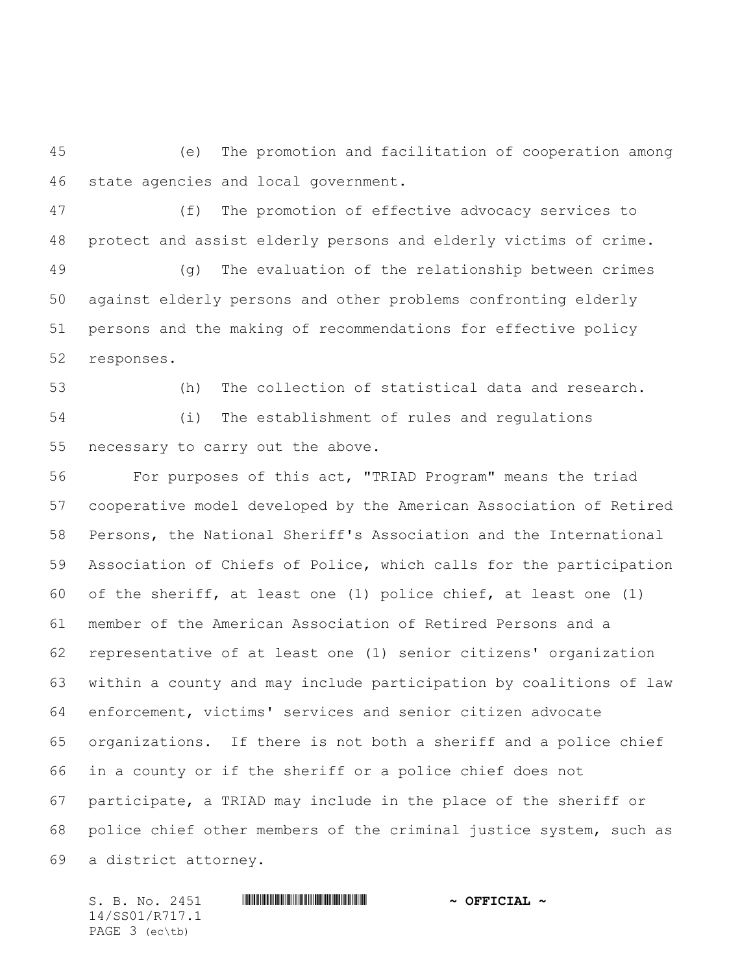(e) The promotion and facilitation of cooperation among state agencies and local government.

 (f) The promotion of effective advocacy services to protect and assist elderly persons and elderly victims of crime.

 (g) The evaluation of the relationship between crimes against elderly persons and other problems confronting elderly persons and the making of recommendations for effective policy responses.

(h) The collection of statistical data and research.

 (i) The establishment of rules and regulations necessary to carry out the above.

 For purposes of this act, "TRIAD Program" means the triad cooperative model developed by the American Association of Retired Persons, the National Sheriff's Association and the International Association of Chiefs of Police, which calls for the participation of the sheriff, at least one (1) police chief, at least one (1) member of the American Association of Retired Persons and a representative of at least one (1) senior citizens' organization within a county and may include participation by coalitions of law enforcement, victims' services and senior citizen advocate organizations. If there is not both a sheriff and a police chief in a county or if the sheriff or a police chief does not participate, a TRIAD may include in the place of the sheriff or police chief other members of the criminal justice system, such as a district attorney.

14/SS01/R717.1 PAGE 3 (ec\tb)

S. B. No. 2451 \*SS01/R717.1\* **~ OFFICIAL ~**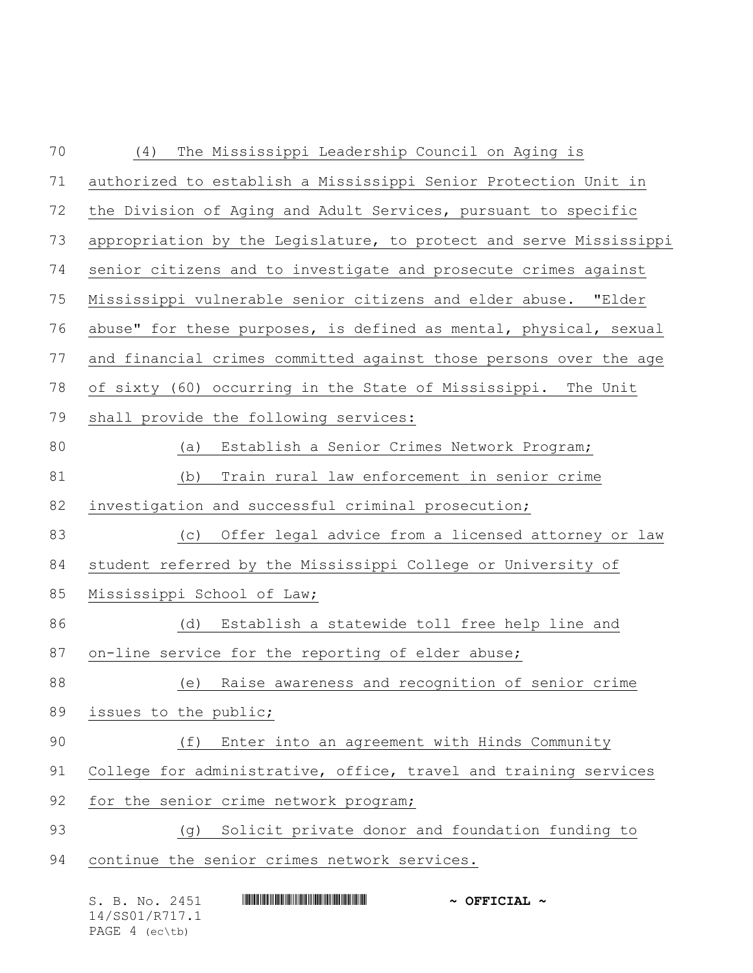| 70 | The Mississippi Leadership Council on Aging is<br>(4)              |
|----|--------------------------------------------------------------------|
| 71 | authorized to establish a Mississippi Senior Protection Unit in    |
| 72 | the Division of Aging and Adult Services, pursuant to specific     |
| 73 | appropriation by the Legislature, to protect and serve Mississippi |
| 74 | senior citizens and to investigate and prosecute crimes against    |
| 75 | Mississippi vulnerable senior citizens and elder abuse. "Elder     |
| 76 | abuse" for these purposes, is defined as mental, physical, sexual  |
| 77 | and financial crimes committed against those persons over the age  |
| 78 | of sixty (60) occurring in the State of Mississippi. The Unit      |
| 79 | shall provide the following services:                              |
| 80 | Establish a Senior Crimes Network Program;<br>(a)                  |
| 81 | Train rural law enforcement in senior crime<br>(b)                 |
| 82 | investigation and successful criminal prosecution;                 |
| 83 | (c) Offer legal advice from a licensed attorney or law             |
| 84 | student referred by the Mississippi College or University of       |
| 85 | Mississippi School of Law;                                         |
| 86 | Establish a statewide toll free help line and<br>(d)               |
| 87 | on-line service for the reporting of elder abuse;                  |
| 88 | (e) Raise awareness and recognition of senior crime                |
| 89 | issues to the public;                                              |
| 90 | Enter into an agreement with Hinds Community<br>(f)                |
| 91 | College for administrative, office, travel and training services   |
| 92 | for the senior crime network program;                              |
| 93 | (g) Solicit private donor and foundation funding to                |
| 94 | continue the senior crimes network services.                       |
|    | S. B. No. 2451<br>$\sim$ OFFICIAL $\sim$                           |

14/SS01/R717.1 PAGE 4 (ec\tb)